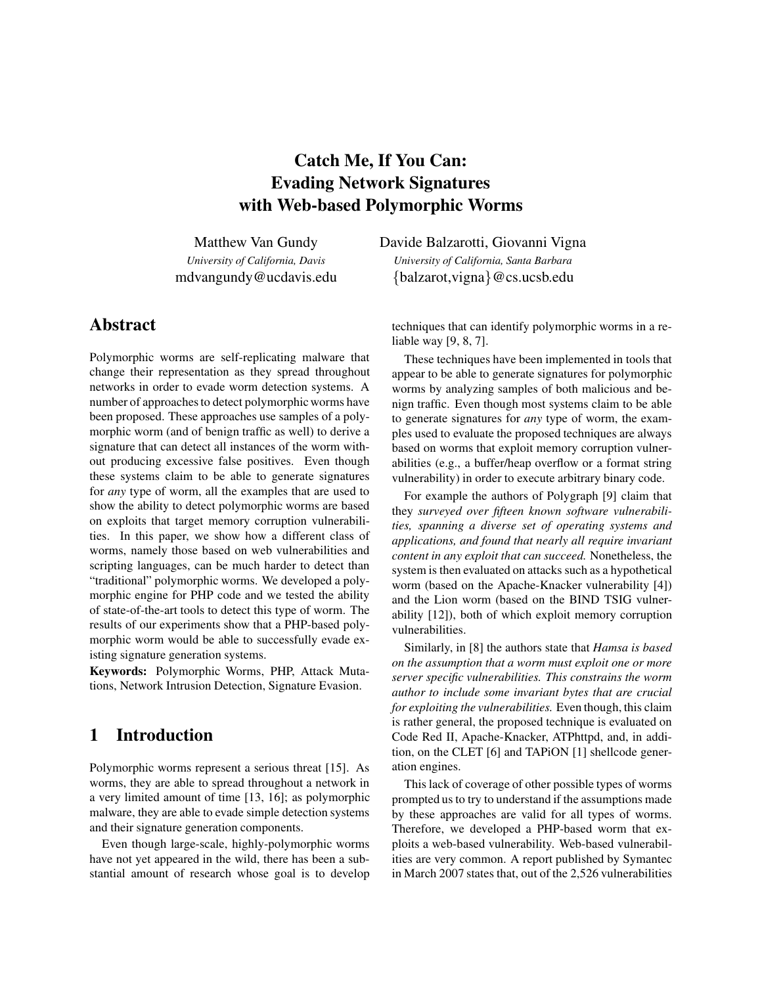# Catch Me, If You Can: Evading Network Signatures with Web-based Polymorphic Worms

Matthew Van Gundy *University of California, Davis*

mdvangundy@ucdavis.edu

## Abstract

Polymorphic worms are self-replicating malware that change their representation as they spread throughout networks in order to evade worm detection systems. A number of approaches to detect polymorphic worms have been proposed. These approaches use samples of a polymorphic worm (and of benign traffic as well) to derive a signature that can detect all instances of the worm without producing excessive false positives. Even though these systems claim to be able to generate signatures for *any* type of worm, all the examples that are used to show the ability to detect polymorphic worms are based on exploits that target memory corruption vulnerabilities. In this paper, we show how a different class of worms, namely those based on web vulnerabilities and scripting languages, can be much harder to detect than "traditional" polymorphic worms. We developed a polymorphic engine for PHP code and we tested the ability of state-of-the-art tools to detect this type of worm. The results of our experiments show that a PHP-based polymorphic worm would be able to successfully evade existing signature generation systems.

Keywords: Polymorphic Worms, PHP, Attack Mutations, Network Intrusion Detection, Signature Evasion.

## 1 Introduction

Polymorphic worms represent a serious threat [15]. As worms, they are able to spread throughout a network in a very limited amount of time [13, 16]; as polymorphic malware, they are able to evade simple detection systems and their signature generation components.

Even though large-scale, highly-polymorphic worms have not yet appeared in the wild, there has been a substantial amount of research whose goal is to develop Davide Balzarotti, Giovanni Vigna

*University of California, Santa Barbara* {balzarot,vigna}@cs.ucsb.edu

techniques that can identify polymorphic worms in a reliable way [9, 8, 7].

These techniques have been implemented in tools that appear to be able to generate signatures for polymorphic worms by analyzing samples of both malicious and benign traffic. Even though most systems claim to be able to generate signatures for *any* type of worm, the examples used to evaluate the proposed techniques are always based on worms that exploit memory corruption vulnerabilities (e.g., a buffer/heap overflow or a format string vulnerability) in order to execute arbitrary binary code.

For example the authors of Polygraph [9] claim that they *surveyed over fifteen known software vulnerabilities, spanning a diverse set of operating systems and applications, and found that nearly all require invariant content in any exploit that can succeed.* Nonetheless, the system is then evaluated on attacks such as a hypothetical worm (based on the Apache-Knacker vulnerability [4]) and the Lion worm (based on the BIND TSIG vulnerability [12]), both of which exploit memory corruption vulnerabilities.

Similarly, in [8] the authors state that *Hamsa is based on the assumption that a worm must exploit one or more server specific vulnerabilities. This constrains the worm author to include some invariant bytes that are crucial for exploiting the vulnerabilities.* Even though, this claim is rather general, the proposed technique is evaluated on Code Red II, Apache-Knacker, ATPhttpd, and, in addition, on the CLET [6] and TAPiON [1] shellcode generation engines.

This lack of coverage of other possible types of worms prompted us to try to understand if the assumptions made by these approaches are valid for all types of worms. Therefore, we developed a PHP-based worm that exploits a web-based vulnerability. Web-based vulnerabilities are very common. A report published by Symantec in March 2007 states that, out of the 2,526 vulnerabilities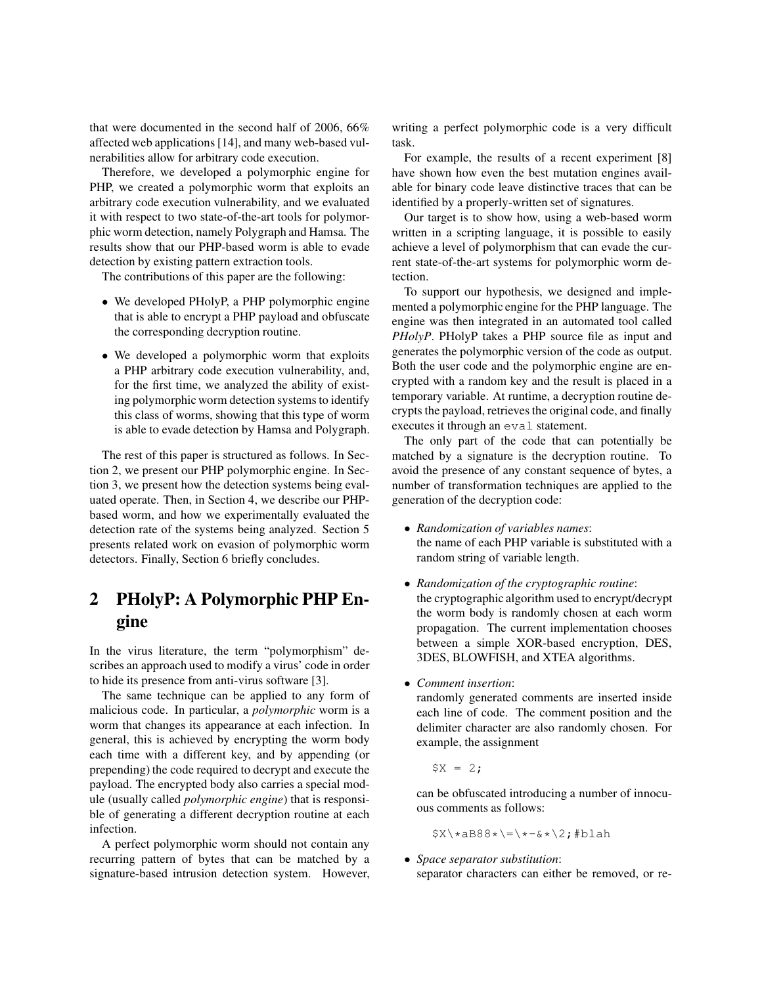that were documented in the second half of 2006, 66% affected web applications [14], and many web-based vulnerabilities allow for arbitrary code execution.

Therefore, we developed a polymorphic engine for PHP, we created a polymorphic worm that exploits an arbitrary code execution vulnerability, and we evaluated it with respect to two state-of-the-art tools for polymorphic worm detection, namely Polygraph and Hamsa. The results show that our PHP-based worm is able to evade detection by existing pattern extraction tools.

The contributions of this paper are the following:

- We developed PHolyP, a PHP polymorphic engine that is able to encrypt a PHP payload and obfuscate the corresponding decryption routine.
- We developed a polymorphic worm that exploits a PHP arbitrary code execution vulnerability, and, for the first time, we analyzed the ability of existing polymorphic worm detection systems to identify this class of worms, showing that this type of worm is able to evade detection by Hamsa and Polygraph.

The rest of this paper is structured as follows. In Section 2, we present our PHP polymorphic engine. In Section 3, we present how the detection systems being evaluated operate. Then, in Section 4, we describe our PHPbased worm, and how we experimentally evaluated the detection rate of the systems being analyzed. Section 5 presents related work on evasion of polymorphic worm detectors. Finally, Section 6 briefly concludes.

# 2 PHolyP: A Polymorphic PHP Engine

In the virus literature, the term "polymorphism" describes an approach used to modify a virus' code in order to hide its presence from anti-virus software [3].

The same technique can be applied to any form of malicious code. In particular, a *polymorphic* worm is a worm that changes its appearance at each infection. In general, this is achieved by encrypting the worm body each time with a different key, and by appending (or prepending) the code required to decrypt and execute the payload. The encrypted body also carries a special module (usually called *polymorphic engine*) that is responsible of generating a different decryption routine at each infection.

A perfect polymorphic worm should not contain any recurring pattern of bytes that can be matched by a signature-based intrusion detection system. However, writing a perfect polymorphic code is a very difficult task.

For example, the results of a recent experiment [8] have shown how even the best mutation engines available for binary code leave distinctive traces that can be identified by a properly-written set of signatures.

Our target is to show how, using a web-based worm written in a scripting language, it is possible to easily achieve a level of polymorphism that can evade the current state-of-the-art systems for polymorphic worm detection.

To support our hypothesis, we designed and implemented a polymorphic engine for the PHP language. The engine was then integrated in an automated tool called *PHolyP*. PHolyP takes a PHP source file as input and generates the polymorphic version of the code as output. Both the user code and the polymorphic engine are encrypted with a random key and the result is placed in a temporary variable. At runtime, a decryption routine decrypts the payload, retrieves the original code, and finally executes it through an eval statement.

The only part of the code that can potentially be matched by a signature is the decryption routine. To avoid the presence of any constant sequence of bytes, a number of transformation techniques are applied to the generation of the decryption code:

- *Randomization of variables names*: the name of each PHP variable is substituted with a random string of variable length.
- *Randomization of the cryptographic routine*: the cryptographic algorithm used to encrypt/decrypt the worm body is randomly chosen at each worm propagation. The current implementation chooses between a simple XOR-based encryption, DES, 3DES, BLOWFISH, and XTEA algorithms.
- *Comment insertion*:

randomly generated comments are inserted inside each line of code. The comment position and the delimiter character are also randomly chosen. For example, the assignment

 $$X = 2;$ 

can be obfuscated introducing a number of innocuous comments as follows:

 $$X\x4B88*>=\x-(4+3x+2;#blab)$ 

• *Space separator substitution*: separator characters can either be removed, or re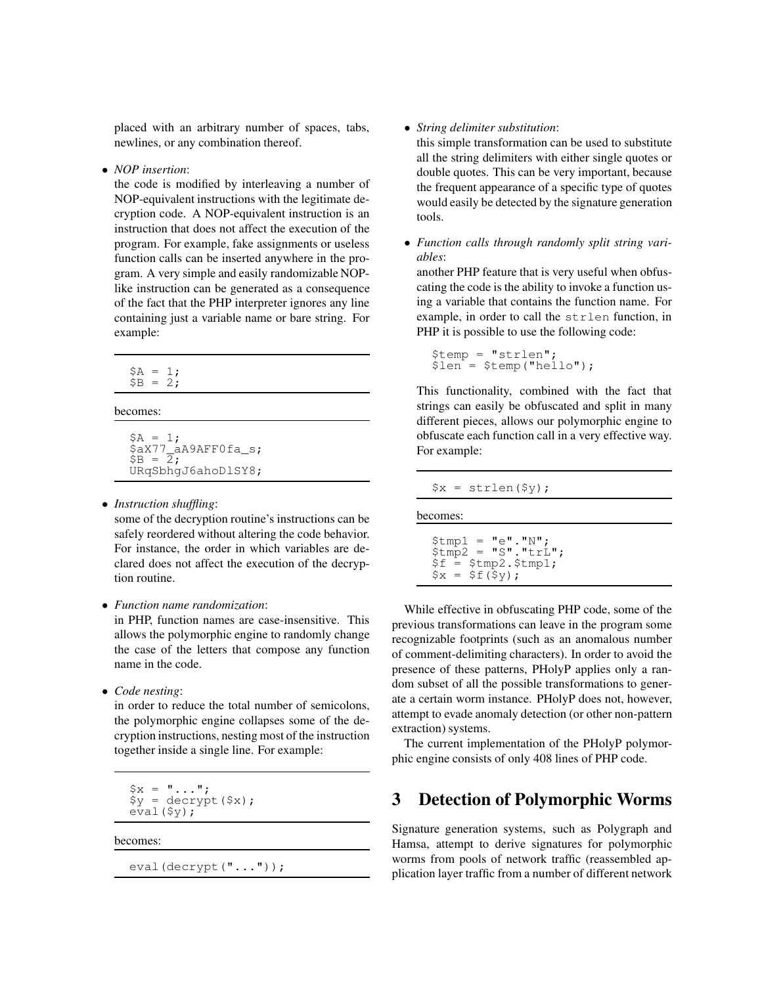placed with an arbitrary number of spaces, tabs, newlines, or any combination thereof.

• *NOP insertion*:

the code is modified by interleaving a number of NOP-equivalent instructions with the legitimate decryption code. A NOP-equivalent instruction is an instruction that does not affect the execution of the program. For example, fake assignments or useless function calls can be inserted anywhere in the program. A very simple and easily randomizable NOPlike instruction can be generated as a consequence of the fact that the PHP interpreter ignores any line containing just a variable name or bare string. For example:

 $$A = 1;$  $$B = 2;$ 

becomes:

 $SA = 1;$ \$aX77\_aA9AFF0fa\_s;  $$B = \overline{2}$ ; URqSbhgJ6ahoDlSY8;

• *Instruction shuffling*:

some of the decryption routine's instructions can be safely reordered without altering the code behavior. For instance, the order in which variables are declared does not affect the execution of the decryption routine.

• *Function name randomization*:

in PHP, function names are case-insensitive. This allows the polymorphic engine to randomly change the case of the letters that compose any function name in the code.

• *Code nesting*:

in order to reduce the total number of semicolons, the polymorphic engine collapses some of the decryption instructions, nesting most of the instruction together inside a single line. For example:

 $$x = "...";$  $\gamma =$  decrypt  $(\frac{2}{3}x)$ ; eval(\$y);

becomes:

eval(decrypt("..."));

• *String delimiter substitution*:

this simple transformation can be used to substitute all the string delimiters with either single quotes or double quotes. This can be very important, because the frequent appearance of a specific type of quotes would easily be detected by the signature generation tools.

• *Function calls through randomly split string variables*:

another PHP feature that is very useful when obfuscating the code is the ability to invoke a function using a variable that contains the function name. For example, in order to call the strlen function, in PHP it is possible to use the following code:

```
$temp = "strlen";
\sin^2 = \sin \sin(\sin \theta);
```
This functionality, combined with the fact that strings can easily be obfuscated and split in many different pieces, allows our polymorphic engine to obfuscate each function call in a very effective way. For example:

 $$x = strlen(Sy)$ ;

becomes:

```
$tmp1 = "e"."N";$tmp2 = "S". "trL".$f = $tmp2 .$tmp1;$x = $f(Sy);
```
While effective in obfuscating PHP code, some of the previous transformations can leave in the program some recognizable footprints (such as an anomalous number of comment-delimiting characters). In order to avoid the presence of these patterns, PHolyP applies only a random subset of all the possible transformations to generate a certain worm instance. PHolyP does not, however, attempt to evade anomaly detection (or other non-pattern extraction) systems.

The current implementation of the PHolyP polymorphic engine consists of only 408 lines of PHP code.

## 3 Detection of Polymorphic Worms

Signature generation systems, such as Polygraph and Hamsa, attempt to derive signatures for polymorphic worms from pools of network traffic (reassembled application layer traffic from a number of different network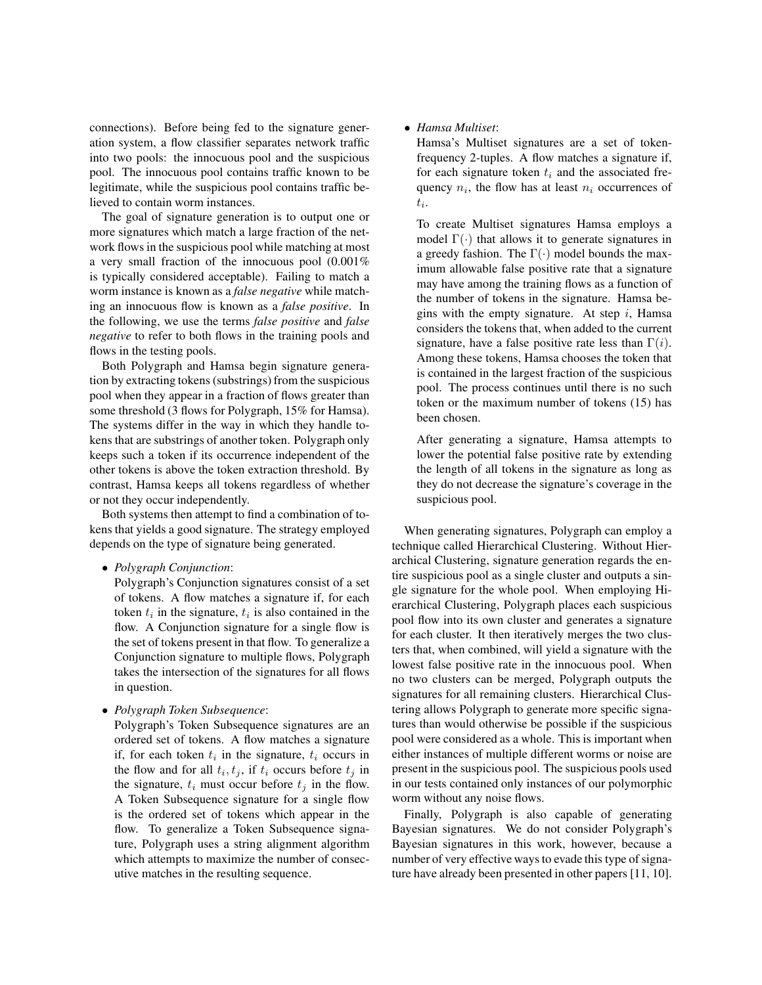connections). Before being fed to the signature generation system, a flow classifier separates network traffic into two pools: the innocuous pool and the suspicious pool. The innocuous pool contains traffic known to be legitimate, while the suspicious pool contains traffic believed to contain worm instances.

The goal of signature generation is to output one or more signatures which match a large fraction of the network flows in the suspicious pool while matching at most a very small fraction of the innocuous pool (0.001% is typically considered acceptable). Failing to match a worm instance is known as a *false negative* while matching an innocuous flow is known as a *false positive*. In the following, we use the terms *false positive* and *false negative* to refer to both flows in the training pools and flows in the testing pools.

Both Polygraph and Hamsa begin signature generation by extracting tokens (substrings) from the suspicious pool when they appear in a fraction of flows greater than some threshold (3 flows for Polygraph, 15% for Hamsa). The systems differ in the way in which they handle tokens that are substrings of another token. Polygraph only keeps such a token if its occurrence independent of the other tokens is above the token extraction threshold. By contrast, Hamsa keeps all tokens regardless of whether or not they occur independently.

Both systems then attempt to find a combination of tokens that yields a good signature. The strategy employed depends on the type of signature being generated.

• *Polygraph Conjunction*:

Polygraph's Conjunction signatures consist of a set of tokens. A flow matches a signature if, for each token  $t_i$  in the signature,  $t_i$  is also contained in the flow. A Conjunction signature for a single flow is the set of tokens present in that flow. To generalize a Conjunction signature to multiple flows, Polygraph takes the intersection of the signatures for all flows in question.

• *Polygraph Token Subsequence*:

Polygraph's Token Subsequence signatures are an ordered set of tokens. A flow matches a signature if, for each token  $t_i$  in the signature,  $t_i$  occurs in the flow and for all  $t_i, t_j$ , if  $t_i$  occurs before  $t_j$  in the signature,  $t_i$  must occur before  $t_j$  in the flow. A Token Subsequence signature for a single flow is the ordered set of tokens which appear in the flow. To generalize a Token Subsequence signature, Polygraph uses a string alignment algorithm which attempts to maximize the number of consecutive matches in the resulting sequence.

#### • *Hamsa Multiset*:

Hamsa's Multiset signatures are a set of tokenfrequency 2-tuples. A flow matches a signature if, for each signature token  $t_i$  and the associated frequency  $n_i$ , the flow has at least  $n_i$  occurrences of  $t_i$ .

To create Multiset signatures Hamsa employs a model  $\Gamma(\cdot)$  that allows it to generate signatures in a greedy fashion. The  $\Gamma(\cdot)$  model bounds the maximum allowable false positive rate that a signature may have among the training flows as a function of the number of tokens in the signature. Hamsa begins with the empty signature. At step  $i$ , Hamsa considers the tokens that, when added to the current signature, have a false positive rate less than  $\Gamma(i)$ . Among these tokens, Hamsa chooses the token that is contained in the largest fraction of the suspicious pool. The process continues until there is no such token or the maximum number of tokens (15) has been chosen.

After generating a signature, Hamsa attempts to lower the potential false positive rate by extending the length of all tokens in the signature as long as they do not decrease the signature's coverage in the suspicious pool.

When generating signatures, Polygraph can employ a technique called Hierarchical Clustering. Without Hierarchical Clustering, signature generation regards the entire suspicious pool as a single cluster and outputs a single signature for the whole pool. When employing Hierarchical Clustering, Polygraph places each suspicious pool flow into its own cluster and generates a signature for each cluster. It then iteratively merges the two clusters that, when combined, will yield a signature with the lowest false positive rate in the innocuous pool. When no two clusters can be merged, Polygraph outputs the signatures for all remaining clusters. Hierarchical Clustering allows Polygraph to generate more specific signatures than would otherwise be possible if the suspicious pool were considered as a whole. This is important when either instances of multiple different worms or noise are present in the suspicious pool. The suspicious pools used in our tests contained only instances of our polymorphic worm without any noise flows.

Finally, Polygraph is also capable of generating Bayesian signatures. We do not consider Polygraph's Bayesian signatures in this work, however, because a number of very effective ways to evade this type of signature have already been presented in other papers [11, 10].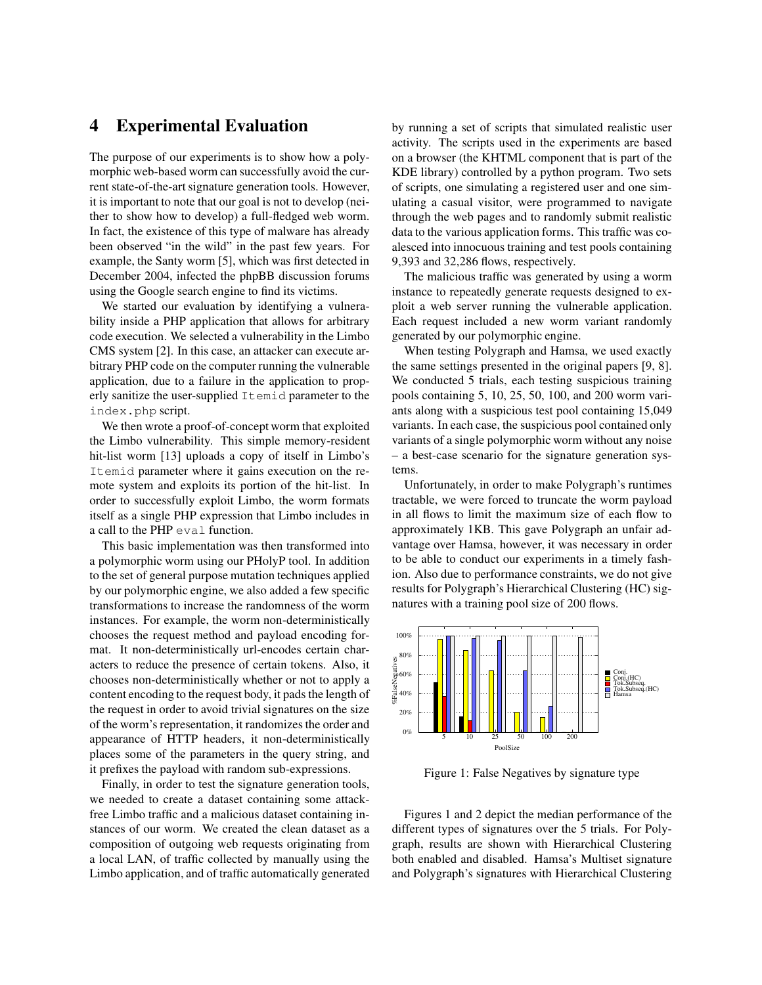## 4 Experimental Evaluation

The purpose of our experiments is to show how a polymorphic web-based worm can successfully avoid the current state-of-the-art signature generation tools. However, it is important to note that our goal is not to develop (neither to show how to develop) a full-fledged web worm. In fact, the existence of this type of malware has already been observed "in the wild" in the past few years. For example, the Santy worm [5], which was first detected in December 2004, infected the phpBB discussion forums using the Google search engine to find its victims.

We started our evaluation by identifying a vulnerability inside a PHP application that allows for arbitrary code execution. We selected a vulnerability in the Limbo CMS system [2]. In this case, an attacker can execute arbitrary PHP code on the computer running the vulnerable application, due to a failure in the application to properly sanitize the user-supplied Itemid parameter to the index.php script.

We then wrote a proof-of-concept worm that exploited the Limbo vulnerability. This simple memory-resident hit-list worm [13] uploads a copy of itself in Limbo's Itemid parameter where it gains execution on the remote system and exploits its portion of the hit-list. In order to successfully exploit Limbo, the worm formats itself as a single PHP expression that Limbo includes in a call to the PHP eval function.

This basic implementation was then transformed into a polymorphic worm using our PHolyP tool. In addition to the set of general purpose mutation techniques applied by our polymorphic engine, we also added a few specific transformations to increase the randomness of the worm instances. For example, the worm non-deterministically chooses the request method and payload encoding format. It non-deterministically url-encodes certain characters to reduce the presence of certain tokens. Also, it chooses non-deterministically whether or not to apply a content encoding to the request body, it pads the length of the request in order to avoid trivial signatures on the size of the worm's representation, it randomizes the order and appearance of HTTP headers, it non-deterministically places some of the parameters in the query string, and it prefixes the payload with random sub-expressions.

Finally, in order to test the signature generation tools, we needed to create a dataset containing some attackfree Limbo traffic and a malicious dataset containing instances of our worm. We created the clean dataset as a composition of outgoing web requests originating from a local LAN, of traffic collected by manually using the Limbo application, and of traffic automatically generated by running a set of scripts that simulated realistic user activity. The scripts used in the experiments are based on a browser (the KHTML component that is part of the KDE library) controlled by a python program. Two sets of scripts, one simulating a registered user and one simulating a casual visitor, were programmed to navigate through the web pages and to randomly submit realistic data to the various application forms. This traffic was coalesced into innocuous training and test pools containing 9,393 and 32,286 flows, respectively.

The malicious traffic was generated by using a worm instance to repeatedly generate requests designed to exploit a web server running the vulnerable application. Each request included a new worm variant randomly generated by our polymorphic engine.

When testing Polygraph and Hamsa, we used exactly the same settings presented in the original papers [9, 8]. We conducted 5 trials, each testing suspicious training pools containing 5, 10, 25, 50, 100, and 200 worm variants along with a suspicious test pool containing 15,049 variants. In each case, the suspicious pool contained only variants of a single polymorphic worm without any noise – a best-case scenario for the signature generation systems.

Unfortunately, in order to make Polygraph's runtimes tractable, we were forced to truncate the worm payload in all flows to limit the maximum size of each flow to approximately 1KB. This gave Polygraph an unfair advantage over Hamsa, however, it was necessary in order to be able to conduct our experiments in a timely fashion. Also due to performance constraints, we do not give results for Polygraph's Hierarchical Clustering (HC) signatures with a training pool size of 200 flows.



Figure 1: False Negatives by signature type

Figures 1 and 2 depict the median performance of the different types of signatures over the 5 trials. For Polygraph, results are shown with Hierarchical Clustering both enabled and disabled. Hamsa's Multiset signature and Polygraph's signatures with Hierarchical Clustering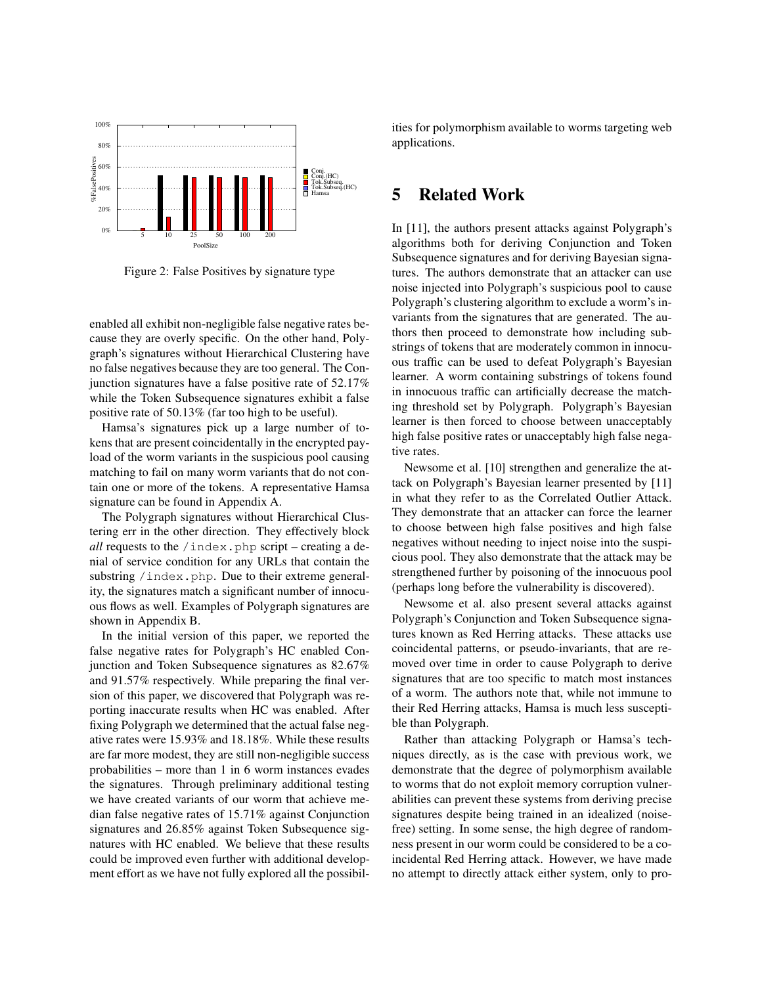

Figure 2: False Positives by signature type

enabled all exhibit non-negligible false negative rates because they are overly specific. On the other hand, Polygraph's signatures without Hierarchical Clustering have no false negatives because they are too general. The Conjunction signatures have a false positive rate of 52.17% while the Token Subsequence signatures exhibit a false positive rate of 50.13% (far too high to be useful).

Hamsa's signatures pick up a large number of tokens that are present coincidentally in the encrypted payload of the worm variants in the suspicious pool causing matching to fail on many worm variants that do not contain one or more of the tokens. A representative Hamsa signature can be found in Appendix A.

The Polygraph signatures without Hierarchical Clustering err in the other direction. They effectively block *all* requests to the /index.php script – creating a denial of service condition for any URLs that contain the substring /index.php. Due to their extreme generality, the signatures match a significant number of innocuous flows as well. Examples of Polygraph signatures are shown in Appendix B.

In the initial version of this paper, we reported the false negative rates for Polygraph's HC enabled Conjunction and Token Subsequence signatures as 82.67% and 91.57% respectively. While preparing the final version of this paper, we discovered that Polygraph was reporting inaccurate results when HC was enabled. After fixing Polygraph we determined that the actual false negative rates were 15.93% and 18.18%. While these results are far more modest, they are still non-negligible success probabilities – more than 1 in 6 worm instances evades the signatures. Through preliminary additional testing we have created variants of our worm that achieve median false negative rates of 15.71% against Conjunction signatures and 26.85% against Token Subsequence signatures with HC enabled. We believe that these results could be improved even further with additional development effort as we have not fully explored all the possibilities for polymorphism available to worms targeting web applications.

#### 5 Related Work

In [11], the authors present attacks against Polygraph's algorithms both for deriving Conjunction and Token Subsequence signatures and for deriving Bayesian signatures. The authors demonstrate that an attacker can use noise injected into Polygraph's suspicious pool to cause Polygraph's clustering algorithm to exclude a worm's invariants from the signatures that are generated. The authors then proceed to demonstrate how including substrings of tokens that are moderately common in innocuous traffic can be used to defeat Polygraph's Bayesian learner. A worm containing substrings of tokens found in innocuous traffic can artificially decrease the matching threshold set by Polygraph. Polygraph's Bayesian learner is then forced to choose between unacceptably high false positive rates or unacceptably high false negative rates.

Newsome et al. [10] strengthen and generalize the attack on Polygraph's Bayesian learner presented by [11] in what they refer to as the Correlated Outlier Attack. They demonstrate that an attacker can force the learner to choose between high false positives and high false negatives without needing to inject noise into the suspicious pool. They also demonstrate that the attack may be strengthened further by poisoning of the innocuous pool (perhaps long before the vulnerability is discovered).

Newsome et al. also present several attacks against Polygraph's Conjunction and Token Subsequence signatures known as Red Herring attacks. These attacks use coincidental patterns, or pseudo-invariants, that are removed over time in order to cause Polygraph to derive signatures that are too specific to match most instances of a worm. The authors note that, while not immune to their Red Herring attacks, Hamsa is much less susceptible than Polygraph.

Rather than attacking Polygraph or Hamsa's techniques directly, as is the case with previous work, we demonstrate that the degree of polymorphism available to worms that do not exploit memory corruption vulnerabilities can prevent these systems from deriving precise signatures despite being trained in an idealized (noisefree) setting. In some sense, the high degree of randomness present in our worm could be considered to be a coincidental Red Herring attack. However, we have made no attempt to directly attack either system, only to pro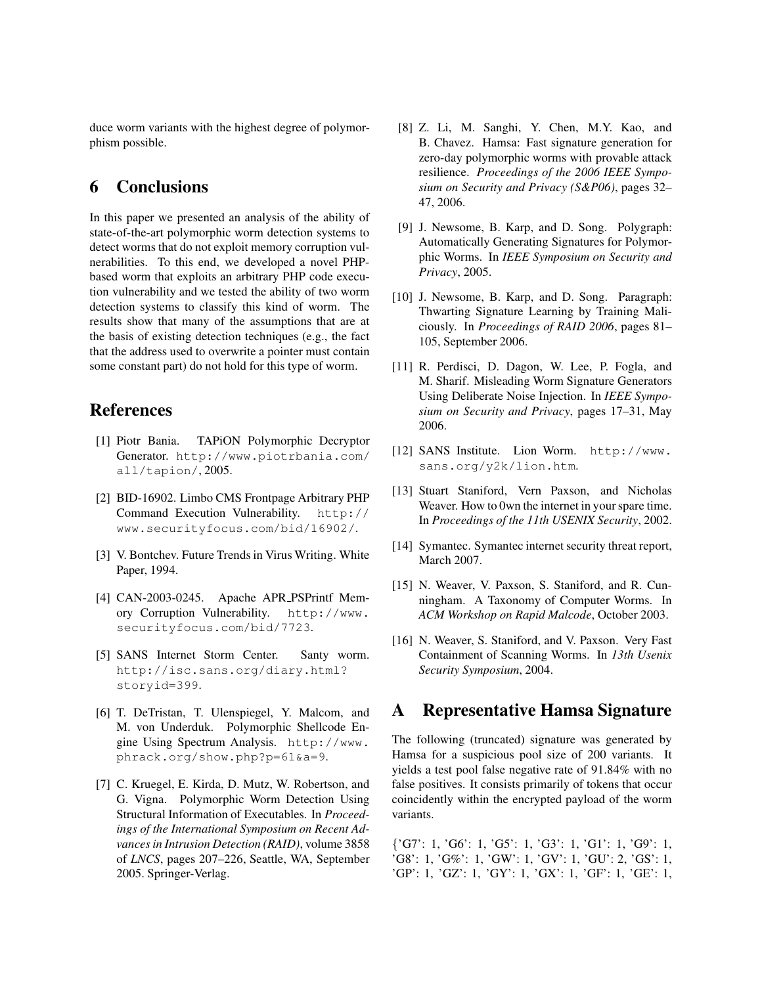duce worm variants with the highest degree of polymorphism possible.

## 6 Conclusions

In this paper we presented an analysis of the ability of state-of-the-art polymorphic worm detection systems to detect worms that do not exploit memory corruption vulnerabilities. To this end, we developed a novel PHPbased worm that exploits an arbitrary PHP code execution vulnerability and we tested the ability of two worm detection systems to classify this kind of worm. The results show that many of the assumptions that are at the basis of existing detection techniques (e.g., the fact that the address used to overwrite a pointer must contain some constant part) do not hold for this type of worm.

# References

- [1] Piotr Bania. TAPiON Polymorphic Decryptor Generator. http://www.piotrbania.com/ all/tapion/, 2005.
- [2] BID-16902. Limbo CMS Frontpage Arbitrary PHP Command Execution Vulnerability. http:// www.securityfocus.com/bid/16902/.
- [3] V. Bontchev. Future Trends in Virus Writing. White Paper, 1994.
- [4] CAN-2003-0245. Apache APR\_PSPrintf Memory Corruption Vulnerability. http://www. securityfocus.com/bid/7723.
- [5] SANS Internet Storm Center. Santy worm. http://isc.sans.org/diary.html? storyid=399.
- [6] T. DeTristan, T. Ulenspiegel, Y. Malcom, and M. von Underduk. Polymorphic Shellcode Engine Using Spectrum Analysis. http://www. phrack.org/show.php?p=61&a=9.
- [7] C. Kruegel, E. Kirda, D. Mutz, W. Robertson, and G. Vigna. Polymorphic Worm Detection Using Structural Information of Executables. In *Proceedings of the International Symposium on Recent Advances in Intrusion Detection (RAID)*, volume 3858 of *LNCS*, pages 207–226, Seattle, WA, September 2005. Springer-Verlag.
- [8] Z. Li, M. Sanghi, Y. Chen, M.Y. Kao, and B. Chavez. Hamsa: Fast signature generation for zero-day polymorphic worms with provable attack resilience. *Proceedings of the 2006 IEEE Symposium on Security and Privacy (S&P06)*, pages 32– 47, 2006.
- [9] J. Newsome, B. Karp, and D. Song. Polygraph: Automatically Generating Signatures for Polymorphic Worms. In *IEEE Symposium on Security and Privacy*, 2005.
- [10] J. Newsome, B. Karp, and D. Song. Paragraph: Thwarting Signature Learning by Training Maliciously. In *Proceedings of RAID 2006*, pages 81– 105, September 2006.
- [11] R. Perdisci, D. Dagon, W. Lee, P. Fogla, and M. Sharif. Misleading Worm Signature Generators Using Deliberate Noise Injection. In *IEEE Symposium on Security and Privacy*, pages 17–31, May 2006.
- [12] SANS Institute. Lion Worm. http://www. sans.org/y2k/lion.htm.
- [13] Stuart Staniford, Vern Paxson, and Nicholas Weaver. How to 0wn the internet in your spare time. In *Proceedings of the 11th USENIX Security*, 2002.
- [14] Symantec. Symantec internet security threat report, March 2007.
- [15] N. Weaver, V. Paxson, S. Staniford, and R. Cunningham. A Taxonomy of Computer Worms. In *ACM Workshop on Rapid Malcode*, October 2003.
- [16] N. Weaver, S. Staniford, and V. Paxson. Very Fast Containment of Scanning Worms. In *13th Usenix Security Symposium*, 2004.

### A Representative Hamsa Signature

The following (truncated) signature was generated by Hamsa for a suspicious pool size of 200 variants. It yields a test pool false negative rate of 91.84% with no false positives. It consists primarily of tokens that occur coincidently within the encrypted payload of the worm variants.

{'G7': 1, 'G6': 1, 'G5': 1, 'G3': 1, 'G1': 1, 'G9': 1, 'G8': 1, 'G%': 1, 'GW': 1, 'GV': 1, 'GU': 2, 'GS': 1, 'GP': 1, 'GZ': 1, 'GY': 1, 'GX': 1, 'GF': 1, 'GE': 1,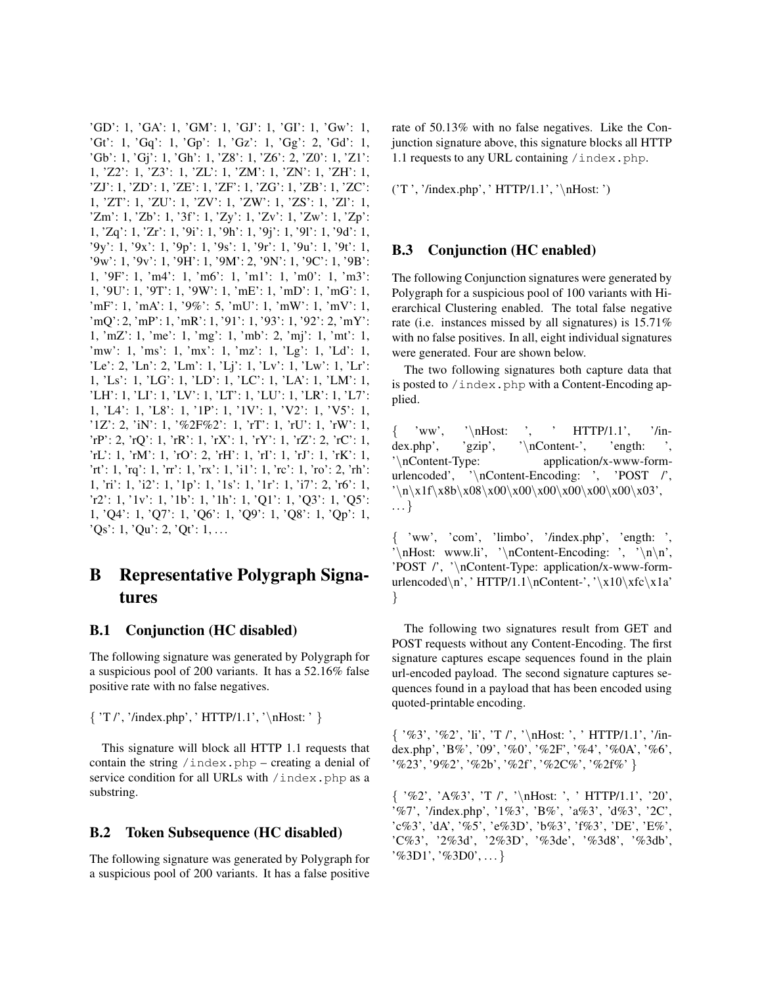'GD': 1, 'GA': 1, 'GM': 1, 'GJ': 1, 'GI': 1, 'Gw': 1, 'Gt': 1, 'Gq': 1, 'Gp': 1, 'Gz': 1, 'Gg': 2, 'Gd': 1, 'Gb': 1, 'Gj': 1, 'Gh': 1, 'Z8': 1, 'Z6': 2, 'Z0': 1, 'Z1': 1, 'Z2': 1, 'Z3': 1, 'ZL': 1, 'ZM': 1, 'ZN': 1, 'ZH': 1, 'ZJ': 1, 'ZD': 1, 'ZE': 1, 'ZF': 1, 'ZG': 1, 'ZB': 1, 'ZC': 1, 'ZT': 1, 'ZU': 1, 'ZV': 1, 'ZW': 1, 'ZS': 1, 'Zl': 1, 'Zm': 1, 'Zb': 1, '3f': 1, 'Zy': 1, 'Zv': 1, 'Zw': 1, 'Zp': 1, 'Zq': 1, 'Zr': 1, '9i': 1, '9h': 1, '9j': 1, '9l': 1, '9d': 1, '9y': 1, '9x': 1, '9p': 1, '9s': 1, '9r': 1, '9u': 1, '9t': 1, '9w': 1, '9v': 1, '9H': 1, '9M': 2, '9N': 1, '9C': 1, '9B': 1, '9F': 1, 'm4': 1, 'm6': 1, 'm1': 1, 'm0': 1, 'm3': 1, '9U': 1, '9T': 1, '9W': 1, 'mE': 1, 'mD': 1, 'mG': 1, 'mF': 1, 'mA': 1, '9%': 5, 'mU': 1, 'mW': 1, 'mV': 1, 'mQ': 2, 'mP': 1, 'mR': 1, '91': 1, '93': 1, '92': 2, 'mY': 1, 'mZ': 1, 'me': 1, 'mg': 1, 'mb': 2, 'mj': 1, 'mt': 1, 'mw': 1, 'ms': 1, 'mx': 1, 'mz': 1, 'Lg': 1, 'Ld': 1, 'Le': 2, 'Ln': 2, 'Lm': 1, 'Lj': 1, 'Lv': 1, 'Lw': 1, 'Lr': 1, 'Ls': 1, 'LG': 1, 'LD': 1, 'LC': 1, 'LA': 1, 'LM': 1, 'LH': 1, 'LI': 1, 'LV': 1, 'LT': 1, 'LU': 1, 'LR': 1, 'L7': 1, 'L4': 1, 'L8': 1, '1P': 1, '1V': 1, 'V2': 1, 'V5': 1, '1Z': 2, 'iN': 1, '%2F%2': 1, 'rT': 1, 'rU': 1, 'rW': 1, 'rP': 2, 'rQ': 1, 'rR': 1, 'rX': 1, 'rY': 1, 'rZ': 2, 'rC': 1, 'rL': 1, 'rM': 1, 'rO': 2, 'rH': 1, 'rI': 1, 'rJ': 1, 'rK': 1, 'rt': 1, 'rq': 1, 'rr': 1, 'rx': 1, 'i1': 1, 'rc': 1, 'ro': 2, 'rh': 1, 'ri': 1, 'i2': 1, '1p': 1, '1s': 1, '1r': 1, 'i7': 2, 'r6': 1, 'r2': 1, '1v': 1, '1b': 1, '1h': 1, 'Q1': 1, 'Q3': 1, 'Q5': 1, 'Q4': 1, 'Q7': 1, 'Q6': 1, 'Q9': 1, 'Q8': 1, 'Qp': 1,  $Qs': 1, Qu': 2, Qt': 1, ...$ 

# B Representative Polygraph Signatures

#### B.1 Conjunction (HC disabled)

The following signature was generated by Polygraph for a suspicious pool of 200 variants. It has a 52.16% false positive rate with no false negatives.

 $\{ 'T \, \prime\, \prime\, \cdot\, \cdot \cdot \}$  HTTP/1.1', '\nHost:' }

This signature will block all HTTP 1.1 requests that contain the string /index.php – creating a denial of service condition for all URLs with /index.php as a substring.

#### B.2 Token Subsequence (HC disabled)

The following signature was generated by Polygraph for a suspicious pool of 200 variants. It has a false positive rate of 50.13% with no false negatives. Like the Conjunction signature above, this signature blocks all HTTP 1.1 requests to any URL containing /index.php.

('T ', '/index.php', ' HTTP/1.1', '\nHost: ')

#### B.3 Conjunction (HC enabled)

The following Conjunction signatures were generated by Polygraph for a suspicious pool of 100 variants with Hierarchical Clustering enabled. The total false negative rate (i.e. instances missed by all signatures) is 15.71% with no false positives. In all, eight individual signatures were generated. Four are shown below.

The two following signatures both capture data that is posted to /index.php with a Content-Encoding applied.

'ww', ' $\hbar$ Host: ', ' HTTP/1.1', '/index.php', 'gzip', '\nContent-', 'ength: '\nContent-Type: application/x-www-formurlencoded', '\nContent-Encoding: ', 'POST /',  $'\n\times1f\xx8b\tx08\tx00\tx00\tx00\tx00\tx00\tx00\tx03',$ . . . }

{ 'ww', 'com', 'limbo', '/index.php', 'ength: ',  $\lambda$  www.ec.m,  $\lambda$ ,  $\lambda$ ,  $\lambda$ ,  $\lambda$ ,  $\lambda$ ,  $\lambda$ ,  $\lambda$ ,  $\lambda$ ,  $\lambda$ ,  $\lambda$ ,  $\lambda$ ,  $\lambda$ ,  $\lambda$ ,  $\lambda$ ,  $\lambda$ ,  $\lambda$ ,  $\lambda$ ,  $\lambda$ ,  $\lambda$ ,  $\lambda$ ,  $\lambda$ ,  $\lambda$ ,  $\lambda$ ,  $\lambda$ ,  $\lambda$ ,  $\lambda$ ,  $\lambda$ ,  $\lambda$ ,  $\lambda$ ,  $\lambda$ ,  $\lambda$ ,  $\lambda$ ,  $\lambda$ ,  $\lambda$ ,  $\$ 'POST /', '\nContent-Type: application/x-www-formurlencoded\n', ' HTTP/1.1\nContent-', '\x10\xfc\x1a' }

The following two signatures result from GET and POST requests without any Content-Encoding. The first signature captures escape sequences found in the plain url-encoded payload. The second signature captures sequences found in a payload that has been encoded using quoted-printable encoding.

 $\{$  '%3', '%2', 'li', 'T /', '\nHost: ', ' HTTP/1.1', '/index.php', 'B%', '09', '%0', '%2F', '%4', '%0A', '%6', '%23', '9%2', '%2b', '%2f', '%2C%', '%2f%' }

 $\{$  '%2', 'A%3', 'T /', '\nHost: ', ' HTTP/1.1', '20', '%7', '/index.php', '1%3', 'B%', 'a%3', 'd%3', '2C', 'c%3', 'dA', '%5', 'e%3D', 'b%3', 'f%3', 'DE', 'E%', 'C%3', '2%3d', '2%3D', '%3de', '%3d8', '%3db', '%3D1', '%3D0', . . . }